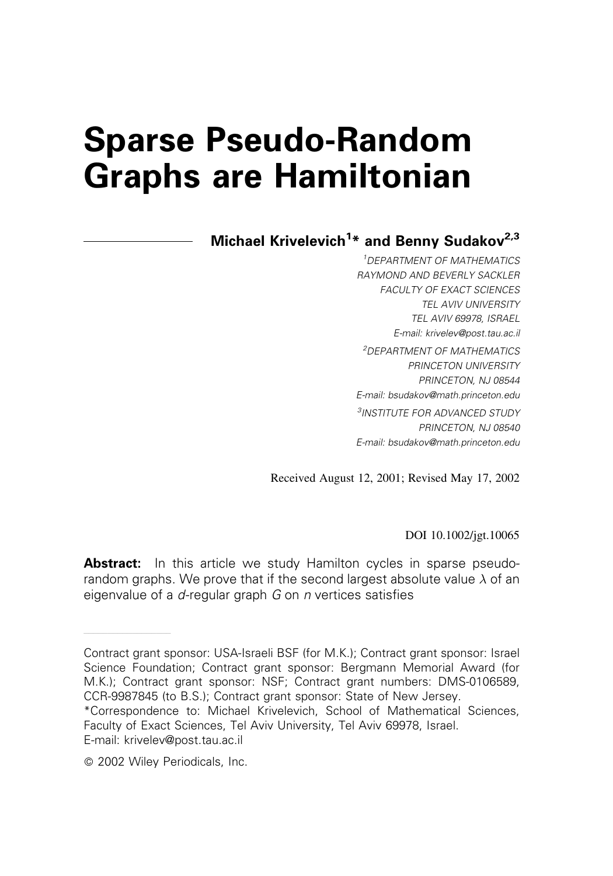# Sparse Pseudo-Random Graphs are Hamiltonian

# Michael Krivelevich<sup>1</sup>\* and Benny Sudakov<sup>2,3</sup>

<sup>1</sup>DEPARTMENT OF MATHEMATICS RAYMOND AND BEVERLY SACKLER FACULTY OF EXACT SCIENCES TEL AVIV UNIVERSITY TEL AVIV 69978, ISRAEL E-mail: krivelev@post.tau.ac.il <sup>2</sup>DEPARTMENT OF MATHEMATICS PRINCETON UNIVERSITY PRINCETON, NJ 08544 E-mail: bsudakov@math.princeton.edu <sup>3</sup>INSTITUTE FOR ADVANCED STUDY PRINCETON, NJ 08540 E-mail: bsudakov@math.princeton.edu

Received August 12, 2001; Revised May 17, 2002

DOI 10.1002/jgt.10065

Abstract: In this article we study Hamilton cycles in sparse pseudorandom graphs. We prove that if the second largest absolute value  $\lambda$  of an eigenvalue of a  $d$ -regular graph  $G$  on  $n$  vertices satisfies

——————————————————

Contract grant sponsor: USA-Israeli BSF (for M.K.); Contract grant sponsor: Israel Science Foundation; Contract grant sponsor: Bergmann Memorial Award (for M.K.); Contract grant sponsor: NSF; Contract grant numbers: DMS-0106589, CCR-9987845 (to B.S.); Contract grant sponsor: State of New Jersey.

<sup>\*</sup>Correspondence to: Michael Krivelevich, School of Mathematical Sciences, Faculty of Exact Sciences, Tel Aviv University, Tel Aviv 69978, Israel. E-mail: krivelev@post.tau.ac.il

2002 Wiley Periodicals, Inc.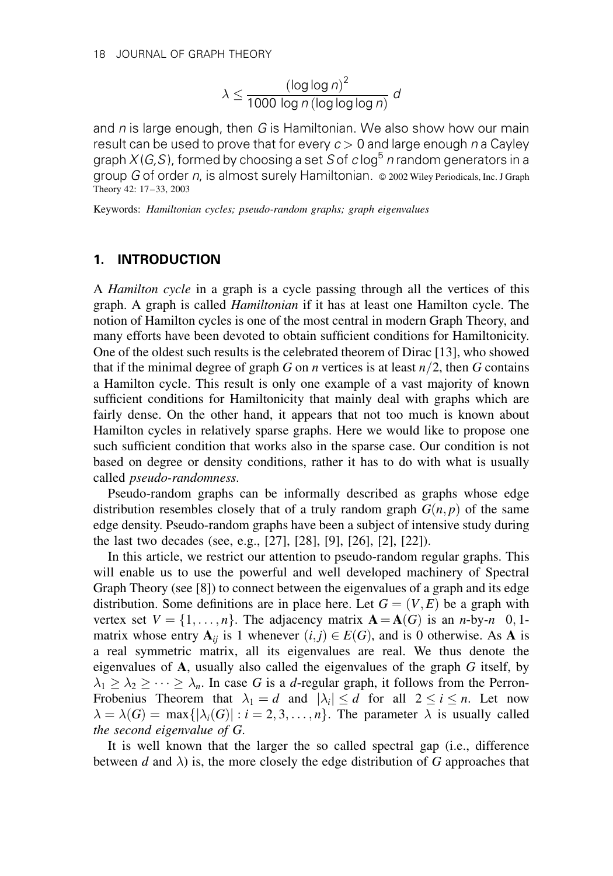$$
\lambda \le \frac{(\log\log n)^2}{1000 \log n (\log\log\log n)} d
$$

and  $n$  is large enough, then G is Hamiltonian. We also show how our main result can be used to prove that for every  $c > 0$  and large enough n a Cayley graph  $X(G, S)$ , formed by choosing a set S of c log<sup>5</sup> n random generators in a group  $G$  of order n, is almost surely Hamiltonian.  $\circ$  2002 Wiley Periodicals, Inc. J Graph Theory 42: 17–33, 2003

Keywords: Hamiltonian cycles; pseudo-random graphs; graph eigenvalues

# 1. INTRODUCTION

A Hamilton cycle in a graph is a cycle passing through all the vertices of this graph. A graph is called Hamiltonian if it has at least one Hamilton cycle. The notion of Hamilton cycles is one of the most central in modern Graph Theory, and many efforts have been devoted to obtain sufficient conditions for Hamiltonicity. One of the oldest such results is the celebrated theorem of Dirac [13], who showed that if the minimal degree of graph G on *n* vertices is at least  $n/2$ , then G contains a Hamilton cycle. This result is only one example of a vast majority of known sufficient conditions for Hamiltonicity that mainly deal with graphs which are fairly dense. On the other hand, it appears that not too much is known about Hamilton cycles in relatively sparse graphs. Here we would like to propose one such sufficient condition that works also in the sparse case. Our condition is not based on degree or density conditions, rather it has to do with what is usually called pseudo-randomness.

Pseudo-random graphs can be informally described as graphs whose edge distribution resembles closely that of a truly random graph  $G(n, p)$  of the same edge density. Pseudo-random graphs have been a subject of intensive study during the last two decades (see, e.g., [27], [28], [9], [26], [2], [22]).

In this article, we restrict our attention to pseudo-random regular graphs. This will enable us to use the powerful and well developed machinery of Spectral Graph Theory (see [8]) to connect between the eigenvalues of a graph and its edge distribution. Some definitions are in place here. Let  $G = (V, E)$  be a graph with vertex set  $V = \{1, \ldots, n\}$ . The adjacency matrix  $\mathbf{A} = \mathbf{A}(G)$  is an *n*-by-*n* 0, 1matrix whose entry  $A_{ij}$  is 1 whenever  $(i, j) \in E(G)$ , and is 0 otherwise. As A is a real symmetric matrix, all its eigenvalues are real. We thus denote the eigenvalues of A, usually also called the eigenvalues of the graph G itself, by  $\lambda_1 \geq \lambda_2 \geq \cdots \geq \lambda_n$ . In case G is a d-regular graph, it follows from the Perron-Frobenius Theorem that  $\lambda_1 = d$  and  $|\lambda_i| \leq d$  for all  $2 \leq i \leq n$ . Let now  $\lambda = \lambda(G) = \max\{|\lambda_i(G)| : i = 2, 3, \ldots, n\}.$  The parameter  $\lambda$  is usually called the second eigenvalue of G.

It is well known that the larger the so called spectral gap (i.e., difference between d and  $\lambda$ ) is, the more closely the edge distribution of G approaches that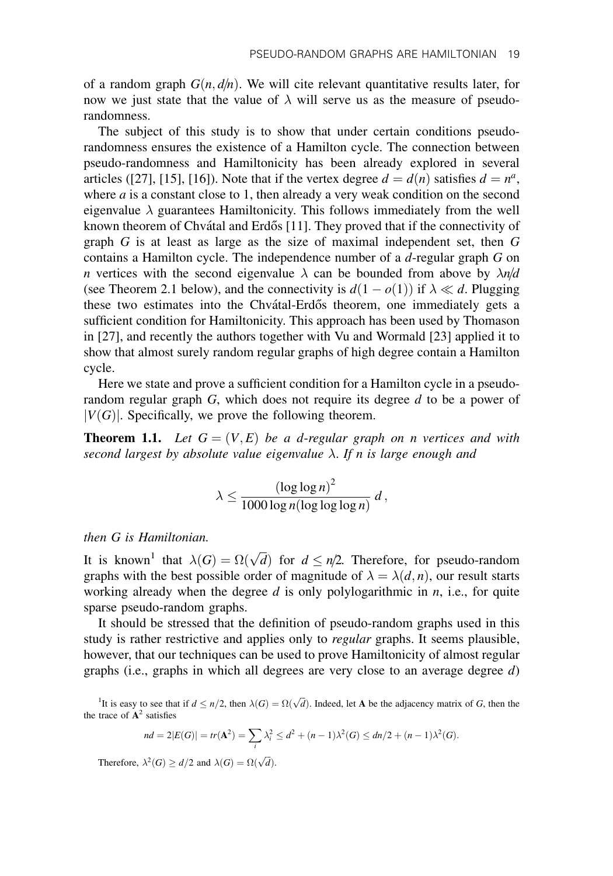of a random graph  $G(n, d/n)$ . We will cite relevant quantitative results later, for now we just state that the value of  $\lambda$  will serve us as the measure of pseudorandomness.

The subject of this study is to show that under certain conditions pseudorandomness ensures the existence of a Hamilton cycle. The connection between pseudo-randomness and Hamiltonicity has been already explored in several articles ([27], [15], [16]). Note that if the vertex degree  $d = d(n)$  satisfies  $d = n^a$ , where  $a$  is a constant close to 1, then already a very weak condition on the second eigenvalue  $\lambda$  guarantees Hamiltonicity. This follows immediately from the well known theorem of Chvátal and Erdős [11]. They proved that if the connectivity of graph  $G$  is at least as large as the size of maximal independent set, then  $G$ contains a Hamilton cycle. The independence number of a d-regular graph G on *n* vertices with the second eigenvalue  $\lambda$  can be bounded from above by  $\lambda n/d$ (see Theorem 2.1 below), and the connectivity is  $d(1 - o(1))$  if  $\lambda \ll d$ . Plugging these two estimates into the Chvátal-Erdős theorem, one immediately gets a sufficient condition for Hamiltonicity. This approach has been used by Thomason in [27], and recently the authors together with Vu and Wormald [23] applied it to show that almost surely random regular graphs of high degree contain a Hamilton cycle.

Here we state and prove a sufficient condition for a Hamilton cycle in a pseudorandom regular graph  $G$ , which does not require its degree  $d$  to be a power of  $|V(G)|$ . Specifically, we prove the following theorem.

**Theorem 1.1.** Let  $G = (V, E)$  be a d-regular graph on n vertices and with second largest by absolute value eigenvalue  $\lambda$ . If n is large enough and

$$
\lambda \leq \frac{(\log \log n)^2}{1000 \log n (\log \log \log n)} d,
$$

then G is Hamiltonian.

It is known<sup>1</sup> that  $\lambda(G) = \Omega(\sqrt{d})$  for  $d \leq n/2$ . Therefore, for pseudo-random graphs with the best possible order of magnitude of  $\lambda = \lambda(d, n)$ , our result starts working already when the degree  $d$  is only polylogarithmic in  $n$ , i.e., for quite sparse pseudo-random graphs.

It should be stressed that the definition of pseudo-random graphs used in this study is rather restrictive and applies only to *regular* graphs. It seems plausible, however, that our techniques can be used to prove Hamiltonicity of almost regular graphs (i.e., graphs in which all degrees are very close to an average degree  $d$ )

<sup>1</sup>It is easy to see that if  $d \le n/2$ , then  $\lambda(G) = \Omega(\sqrt{d})$ . Indeed, let **A** be the adjacency matrix of *G*, then the the trace of  $A^2$  satisfies

$$
nd = 2|E(G)| = tr(\mathbf{A}^2) = \sum_{i} \lambda_i^2 \le d^2 + (n-1)\lambda^2(G) \le dn/2 + (n-1)\lambda^2(G).
$$

Therefore,  $\lambda^2(G) \ge d/2$  and  $\lambda(G) = \Omega(\sqrt{d}).$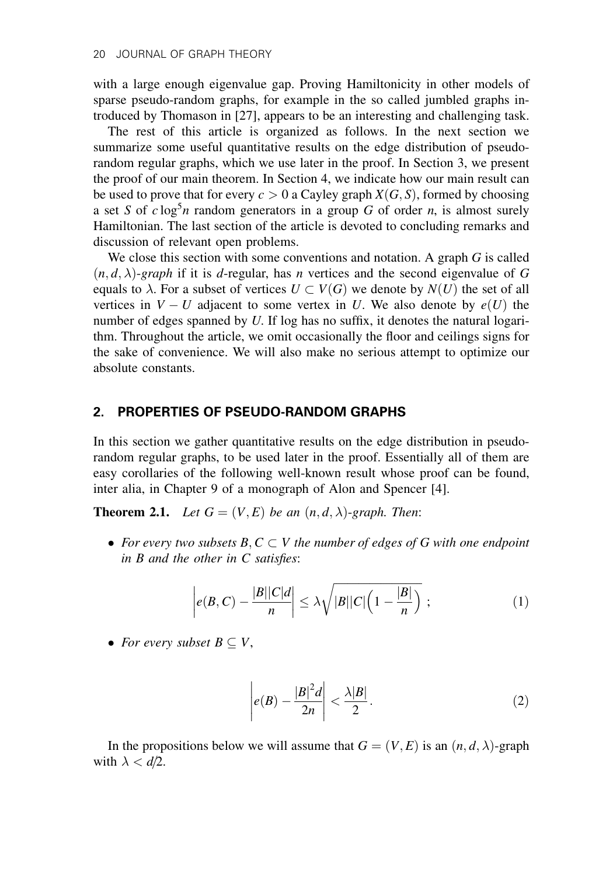with a large enough eigenvalue gap. Proving Hamiltonicity in other models of sparse pseudo-random graphs, for example in the so called jumbled graphs introduced by Thomason in [27], appears to be an interesting and challenging task.

The rest of this article is organized as follows. In the next section we summarize some useful quantitative results on the edge distribution of pseudorandom regular graphs, which we use later in the proof. In Section 3, we present the proof of our main theorem. In Section 4, we indicate how our main result can be used to prove that for every  $c > 0$  a Cayley graph  $X(G, S)$ , formed by choosing a set S of  $c \log^5 n$  random generators in a group G of order n, is almost surely Hamiltonian. The last section of the article is devoted to concluding remarks and discussion of relevant open problems.

We close this section with some conventions and notation. A graph G is called  $(n, d, \lambda)$ -graph if it is d-regular, has n vertices and the second eigenvalue of G equals to  $\lambda$ . For a subset of vertices  $U \subset V(G)$  we denote by  $N(U)$  the set of all vertices in  $V-U$  adjacent to some vertex in U. We also denote by  $e(U)$  the number of edges spanned by U. If log has no suffix, it denotes the natural logarithm. Throughout the article, we omit occasionally the floor and ceilings signs for the sake of convenience. We will also make no serious attempt to optimize our absolute constants.

# 2. PROPERTIES OF PSEUDO-RANDOM GRAPHS

In this section we gather quantitative results on the edge distribution in pseudorandom regular graphs, to be used later in the proof. Essentially all of them are easy corollaries of the following well-known result whose proof can be found, inter alia, in Chapter 9 of a monograph of Alon and Spencer [4].

**Theorem 2.1.** Let  $G = (V, E)$  be an  $(n, d, \lambda)$ -graph. Then:

• For every two subsets  $B, C \subset V$  the number of edges of G with one endpoint in B and the other in C satisfies:

$$
\left| e(B, C) - \frac{|B||C|d}{n} \right| \le \lambda \sqrt{|B||C|\left(1 - \frac{|B|}{n}\right)} ; \tag{1}
$$

• For every subset  $B \subseteq V$ ,

$$
\left| e(B) - \frac{|B|^2 d}{2n} \right| < \frac{\lambda |B|}{2} . \tag{2}
$$

In the propositions below we will assume that  $G = (V, E)$  is an  $(n, d, \lambda)$ -graph with  $\lambda < d/2$ .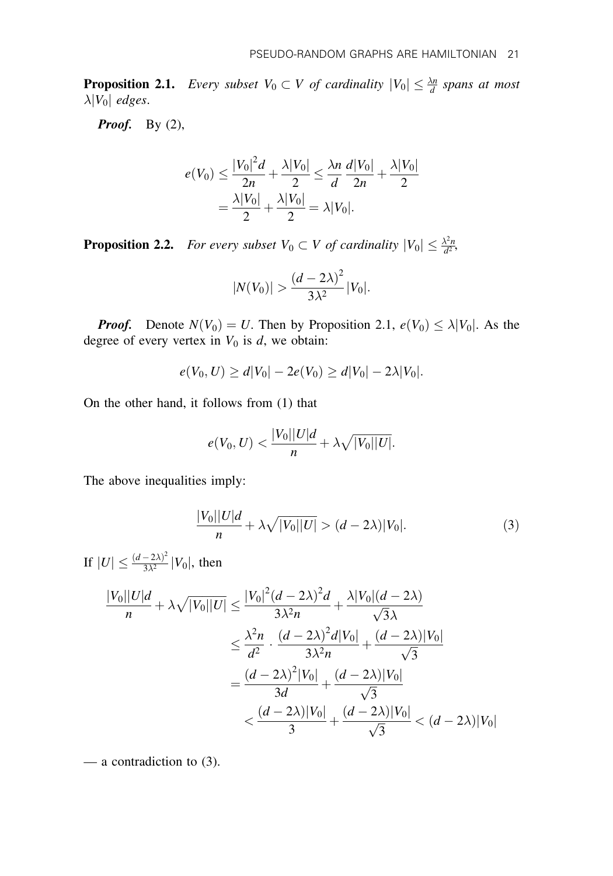**Proposition 2.1.** Every subset  $V_0 \subset V$  of cardinality  $|V_0| \leq \frac{\lambda n}{d}$  spans at most  $\lambda |V_0|$  edges.

**Proof.** By  $(2)$ ,

$$
e(V_0) \le \frac{|V_0|^2 d}{2n} + \frac{\lambda |V_0|}{2} \le \frac{\lambda n}{d} \frac{d|V_0|}{2n} + \frac{\lambda |V_0|}{2}
$$
  
= 
$$
\frac{\lambda |V_0|}{2} + \frac{\lambda |V_0|}{2} = \lambda |V_0|.
$$

**Proposition 2.2.** For every subset  $V_0 \subset V$  of cardinality  $|V_0| \leq \frac{\lambda^2 n}{d^2}$ ,

$$
|N(V_0)| > \frac{(d-2\lambda)^2}{3\lambda^2}|V_0|.
$$

**Proof.** Denote  $N(V_0) = U$ . Then by Proposition 2.1,  $e(V_0) \leq \lambda |V_0|$ . As the degree of every vertex in  $V_0$  is d, we obtain:

$$
e(V_0, U) \ge d|V_0| - 2e(V_0) \ge d|V_0| - 2\lambda|V_0|.
$$

On the other hand, it follows from (1) that

$$
e(V_0, U) < \frac{|V_0||U|d}{n} + \lambda \sqrt{|V_0||U|}.
$$

The above inequalities imply:

$$
\frac{|V_0||U|d}{n} + \lambda \sqrt{|V_0||U|} > (d - 2\lambda)|V_0|.
$$
 (3)

If  $|U| \leq \frac{(d-2\lambda)^2}{3\lambda^2} |V_0|$ , then

$$
\frac{|V_0||U|d}{n} + \lambda \sqrt{|V_0||U|} \le \frac{|V_0|^2 (d - 2\lambda)^2 d}{3\lambda^2 n} + \frac{\lambda |V_0|(d - 2\lambda)}{\sqrt{3}\lambda}
$$

$$
\le \frac{\lambda^2 n}{d^2} \cdot \frac{(d - 2\lambda)^2 d|V_0|}{3\lambda^2 n} + \frac{(d - 2\lambda)|V_0|}{\sqrt{3}}
$$

$$
= \frac{(d - 2\lambda)^2 |V_0|}{3d} + \frac{(d - 2\lambda)|V_0|}{\sqrt{3}}
$$

$$
< \frac{(d - 2\lambda)|V_0|}{3} + \frac{(d - 2\lambda)|V_0|}{\sqrt{3}} < (d - 2\lambda)|V_0|
$$

— a contradiction to (3).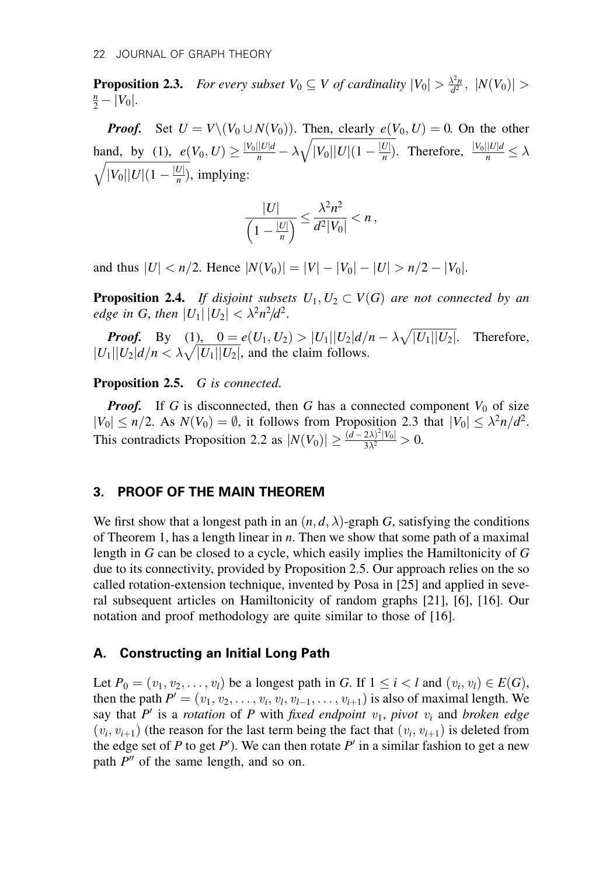**Proposition 2.3.** For every subset  $V_0 \subseteq V$  of cardinality  $|V_0| > \frac{\lambda^2 n}{d^2}$ ,  $|N(V_0)| > \frac{n}{d}$ .  $\frac{n}{2} - |V_0|$ .

**Proof.** Set  $U = V \setminus (V_0 \cup N(V_0))$ . Then, clearly  $e(V_0, U) = 0$ . On the other hand, by (1),  $e(V_0, U) \ge \frac{|V_0||U|d}{n} - \lambda$  $\frac{f(t)}{f(t)}$  $|V_0||U|(1-\frac{|U|}{n})$  $\frac{1}{\sqrt{2}}$ hand, by (1),  $e(V_0, U) \ge \frac{|V_0||U|d}{n} - \lambda \sqrt{|V_0||U|(1 - \frac{|U|}{n})}$ . Therefore,  $\frac{|V_0||U|d}{n} \le \lambda$  $|V_0||U|(1-\frac{|U|}{n})$ , implying:

$$
\frac{|U|}{\left(1-\frac{|U|}{n}\right)} \leq \frac{\lambda^2 n^2}{d^2|V_0|} < n
$$

and thus  $|U| < n/2$ . Hence  $|N(V_0)| = |V| - |V_0| - |U| > n/2 - |V_0|$ .

**Proposition 2.4.** If disjoint subsets  $U_1, U_2 \subset V(G)$  are not connected by an edge in G, then  $|U_1| |U_2| < \lambda^2 n^2/d^2$ .

**Proof.** By (1),  $0 = e(U_1, U_2) > |U_1||U_2|d/n - \lambda \sqrt{|U_1||U_2|}$ . Therefore, **From:** By  $\frac{11}{2}$ ,  $\frac{6}{2}$ ,  $\frac{1}{2}$ ,  $\frac{6}{2}$ ,  $\frac{1}{2}$ ,  $\frac{1}{2}$ ,  $\frac{1}{2}$ ,  $\frac{1}{2}$ ,  $\frac{1}{2}$ ,  $\frac{1}{2}$ ,  $\frac{1}{2}$ ,  $\frac{1}{2}$ ,  $\frac{1}{2}$ ,  $\frac{1}{2}$ ,  $\frac{1}{2}$ ,  $\frac{1}{2}$ ,  $\frac{1}{2}$ ,  $\frac{1}{2}$ ,  $\frac{1}{2}$ ,

#### Proposition 2.5. G is connected.

**Proof.** If G is disconnected, then G has a connected component  $V_0$  of size  $|V_0| \le n/2$ . As  $N(V_0) = \emptyset$ , it follows from Proposition 2.3 that  $|V_0| \le \lambda^2 n/d^2$ . This contradicts Proposition 2.2 as  $|N(V_0)| \geq \frac{(d-2\lambda)^2|V_0|}{3\lambda^2} > 0$ .

## 3. PROOF OF THE MAIN THEOREM

We first show that a longest path in an  $(n, d, \lambda)$ -graph G, satisfying the conditions of Theorem 1, has a length linear in  $n$ . Then we show that some path of a maximal length in G can be closed to a cycle, which easily implies the Hamiltonicity of G due to its connectivity, provided by Proposition 2.5. Our approach relies on the so called rotation-extension technique, invented by Posa in [25] and applied in several subsequent articles on Hamiltonicity of random graphs [21], [6], [16]. Our notation and proof methodology are quite similar to those of [16].

#### A. Constructing an Initial Long Path

Let  $P_0 = (v_1, v_2, \dots, v_l)$  be a longest path in G. If  $1 \leq i < l$  and  $(v_i, v_l) \in E(G)$ , then the path  $P' = (v_1, v_2, \ldots, v_i, v_l, v_{l-1}, \ldots, v_{i+1})$  is also of maximal length. We say that P' is a rotation of P with fixed endpoint  $v_1$ , pivot  $v_i$  and broken edge  $(v_i, v_{i+1})$  (the reason for the last term being the fact that  $(v_i, v_{i+1})$  is deleted from the edge set of P to get P'). We can then rotate P' in a similar fashion to get a new path  $P''$  of the same length, and so on.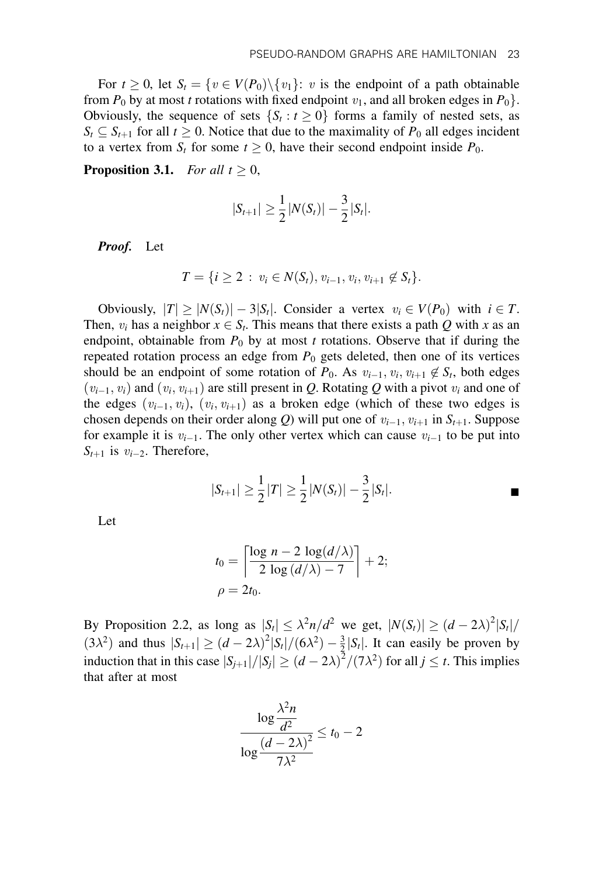For  $t \geq 0$ , let  $S_t = \{v \in V(P_0) \setminus \{v_1\}: v$  is the endpoint of a path obtainable from  $P_0$  by at most t rotations with fixed endpoint  $v_1$ , and all broken edges in  $P_0$ . Obviously, the sequence of sets  $\{S_t : t \geq 0\}$  forms a family of nested sets, as  $S_t \subseteq S_{t+1}$  for all  $t \geq 0$ . Notice that due to the maximality of  $P_0$  all edges incident to a vertex from  $S_t$  for some  $t \geq 0$ , have their second endpoint inside  $P_0$ .

**Proposition 3.1.** For all  $t \geq 0$ ,

$$
|S_{t+1}| \geq \frac{1}{2}|N(S_t)| - \frac{3}{2}|S_t|.
$$

Proof. Let

$$
T = \{i \geq 2 : v_i \in N(S_t), v_{i-1}, v_i, v_{i+1} \notin S_t\}.
$$

Obviously,  $|T| \geq |N(S_t)| - 3|S_t|$ . Consider a vertex  $v_i \in V(P_0)$  with  $i \in T$ . Then,  $v_i$  has a neighbor  $x \in S_t$ . This means that there exists a path Q with x as an endpoint, obtainable from  $P_0$  by at most t rotations. Observe that if during the repeated rotation process an edge from  $P_0$  gets deleted, then one of its vertices should be an endpoint of some rotation of  $P_0$ . As  $v_{i-1}, v_i, v_{i+1} \notin S_t$ , both edges  $(v_{i-1}, v_i)$  and  $(v_i, v_{i+1})$  are still present in Q. Rotating Q with a pivot  $v_i$  and one of the edges  $(v_{i-1}, v_i)$ ,  $(v_i, v_{i+1})$  as a broken edge (which of these two edges is chosen depends on their order along Q) will put one of  $v_{i-1}$ ,  $v_{i+1}$  in  $S_{t+1}$ . Suppose for example it is  $v_{i-1}$ . The only other vertex which can cause  $v_{i-1}$  to be put into  $S_{t+1}$  is  $v_{i-2}$ . Therefore,

$$
|S_{t+1}| \geq \frac{1}{2}|T| \geq \frac{1}{2}|N(S_t)| - \frac{3}{2}|S_t|.
$$

Let

$$
t_0 = \left\lceil \frac{\log n - 2 \log(d/\lambda)}{2 \log(d/\lambda) - 7} \right\rceil + 2;
$$
  

$$
\rho = 2t_0.
$$

By Proposition 2.2, as long as  $|S_t| \leq \lambda^2 n/d^2$  we get,  $|N(S_t)| \geq (d-2\lambda)^2 |S_t|/2$  $(3\lambda^2)$  and thus  $|S_{t+1}| \ge (d-2\lambda)^2 |S_t|/(6\lambda^2) - \frac{3}{2} |S_t|$ . It can easily be proven by induction that in this case  $|S_{j+1}|/|S_j| \ge (d-2\lambda)^2/(7\lambda^2)$  for all  $j \le t$ . This implies that after at most

$$
\frac{\log \frac{\lambda^2 n}{d^2}}{\log \frac{\left(d-2\lambda\right)^2}{7\lambda^2}} \le t_0 - 2
$$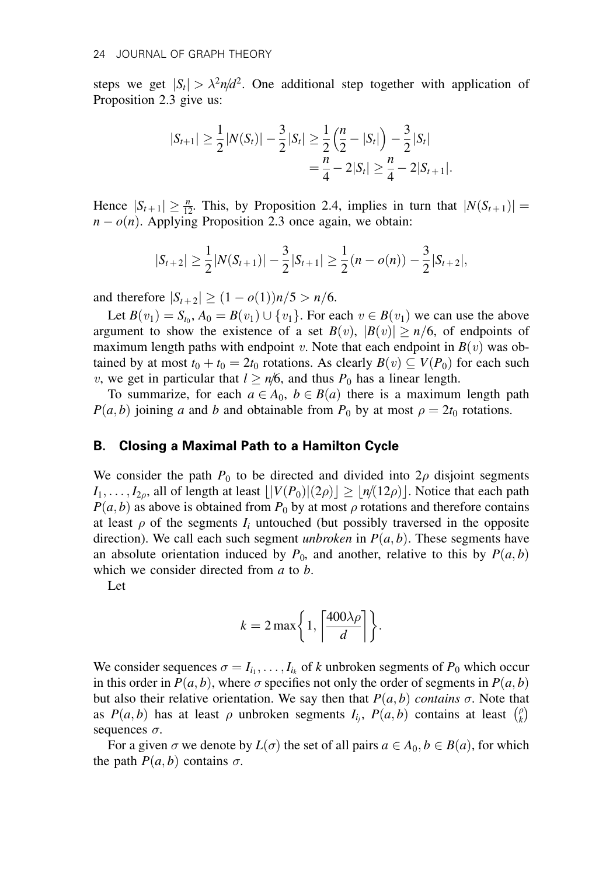steps we get  $|S_t| > \lambda^2 n/d^2$ . One additional step together with application of Proposition 2.3 give us:

$$
|S_{t+1}| \geq \frac{1}{2}|N(S_t)| - \frac{3}{2}|S_t| \geq \frac{1}{2}\left(\frac{n}{2} - |S_t|\right) - \frac{3}{2}|S_t|
$$
  
=  $\frac{n}{4} - 2|S_t| \geq \frac{n}{4} - 2|S_{t+1}|.$ 

Hence  $|S_{t+1}| \geq \frac{n}{12}$ . This, by Proposition 2.4, implies in turn that  $|N(S_{t+1})|$  =  $n - o(n)$ . Applying Proposition 2.3 once again, we obtain:

$$
|S_{t+2}| \geq \frac{1}{2}|N(S_{t+1})| - \frac{3}{2}|S_{t+1}| \geq \frac{1}{2}(n - o(n)) - \frac{3}{2}|S_{t+2}|,
$$

and therefore  $|S_{t+2}| \ge (1 - o(1))n/5 > n/6$ .

Let  $B(v_1) = S_{t_0}$ ,  $A_0 = B(v_1) \cup \{v_1\}$ . For each  $v \in B(v_1)$  we can use the above argument to show the existence of a set  $B(v)$ ,  $|B(v)| \ge n/6$ , of endpoints of maximum length paths with endpoint v. Note that each endpoint in  $B(v)$  was obtained by at most  $t_0 + t_0 = 2t_0$  rotations. As clearly  $B(v) \subseteq V(P_0)$  for each such v, we get in particular that  $l \ge n/6$ , and thus  $P_0$  has a linear length.

To summarize, for each  $a \in A_0$ ,  $b \in B(a)$  there is a maximum length path  $P(a, b)$  joining a and b and obtainable from  $P_0$  by at most  $\rho = 2t_0$  rotations.

#### B. Closing a Maximal Path to a Hamilton Cycle

We consider the path  $P_0$  to be directed and divided into  $2\rho$  disjoint segments  $I_1, \ldots, I_{2\rho}$ , all of length at least  $\lfloor |V(P_0)|(2\rho)| \geq \lfloor n/(12\rho) \rfloor$ . Notice that each path  $P(a, b)$  as above is obtained from  $P_0$  by at most  $\rho$  rotations and therefore contains at least  $\rho$  of the segments  $I_i$  untouched (but possibly traversed in the opposite direction). We call each such segment *unbroken* in  $P(a, b)$ . These segments have an absolute orientation induced by  $P_0$ , and another, relative to this by  $P(a, b)$ which we consider directed from  $a$  to  $b$ .

Let

$$
k = 2 \max \bigg\{ 1, \bigg\lceil \frac{400 \lambda \rho}{d} \bigg\rceil \bigg\}.
$$

We consider sequences  $\sigma = I_{i_1}, \ldots, I_{i_k}$  of k unbroken segments of  $P_0$  which occur in this order in  $P(a, b)$ , where  $\sigma$  specifies not only the order of segments in  $P(a, b)$ but also their relative orientation. We say then that  $P(a, b)$  contains  $\sigma$ . Note that as  $P(a, b)$  has at least  $\rho$  unbroken segments  $I_{i_j}$ ,  $P(a, b)$  contains at least  $\binom{\rho}{k}$  $\lim_{\ell \to \infty}$ sequences  $\sigma$ .

For a given  $\sigma$  we denote by  $L(\sigma)$  the set of all pairs  $a \in A_0, b \in B(a)$ , for which the path  $P(a, b)$  contains  $\sigma$ .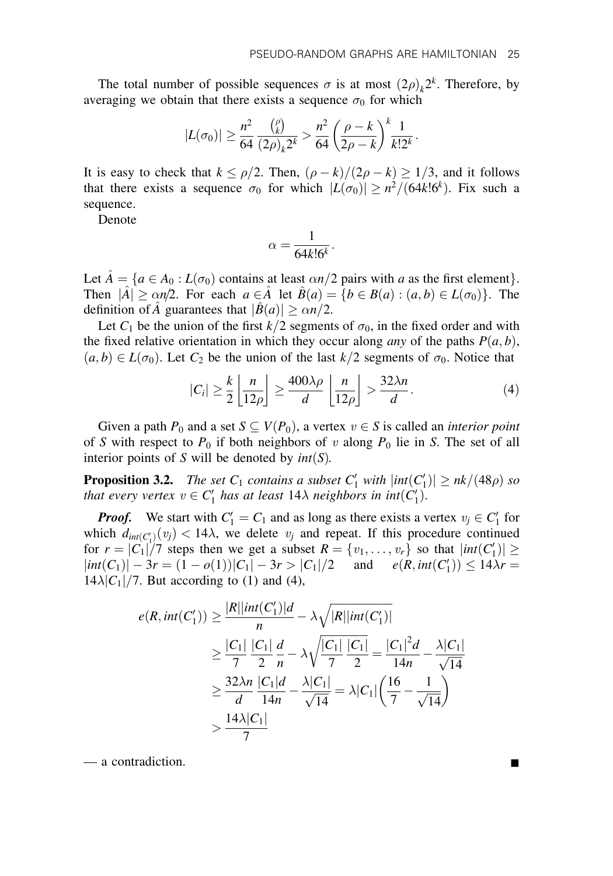The total number of possible sequences  $\sigma$  is at most  $(2\rho)_k 2^k$ . Therefore, by averaging we obtain that there exists a sequence  $\sigma_0$  for which

$$
|L(\sigma_0)| \geq \frac{n^2}{64} \frac{\binom{\rho}{k}}{(2\rho)_k 2^k} > \frac{n^2}{64} \left(\frac{\rho - k}{2\rho - k}\right)^k \frac{1}{k! 2^k}.
$$

It is easy to check that  $k \leq \rho/2$ . Then,  $(\rho - k)/(2\rho - k) \geq 1/3$ , and it follows that there exists a sequence  $\sigma_0$  for which  $|L(\sigma_0)| \geq n^2/(64k!6^k)$ . Fix such a sequence.

Denote

$$
\alpha = \frac{1}{64k!6^k}.
$$

Let  $A = \{a \in A_0 : L(\sigma_0)$  contains at least  $\alpha n/2$  pairs with a as the first element $\}$ . Then  $|\hat{A}| \ge \alpha n/2$ . For each  $a \in \hat{A}$  let  $\hat{B}(a) = \{b \in B(a) : (a, b) \in L(\sigma_0)\}\.$  The definition of  $\hat{A}$  guarantees that  $|\hat{B}(a)| \ge \alpha n/2$ .

Let  $C_1$  be the union of the first  $k/2$  segments of  $\sigma_0$ , in the fixed order and with the fixed relative orientation in which they occur along *any* of the paths  $P(a, b)$ ,  $(a,b) \in L(\sigma_0)$ . Let  $C_2$  be the union of the last  $k/2$  segments of  $\sigma_0$ . Notice that

$$
|C_i| \geq \frac{k}{2} \left\lfloor \frac{n}{12\rho} \right\rfloor \geq \frac{400\lambda\rho}{d} \left\lfloor \frac{n}{12\rho} \right\rfloor > \frac{32\lambda n}{d}.
$$
 (4)

Given a path  $P_0$  and a set  $S \subseteq V(P_0)$ , a vertex  $v \in S$  is called an *interior point* of S with respect to  $P_0$  if both neighbors of v along  $P_0$  lie in S. The set of all interior points of S will be denoted by  $int(S)$ .

**Proposition 3.2.** The set  $C_1$  contains a subset  $C'_1$  with  $|int(C'_1)| \geq nk/(48\rho)$  so that every vertex  $v \in C'_1$  has at least  $14\lambda$  neighbors in int $(C'_1)$ .

**Proof.** We start with  $C_1' = C_1$  and as long as there exists a vertex  $v_j \in C_1'$  for which  $d_{int(C_1)}(v_j) < 14\lambda$ , we delete  $v_j$  and repeat. If this procedure continued for  $r = |C_1|/7$  steps then we get a subset  $R = \{v_1, \ldots, v_r\}$  so that  $|int(C'_1)| \ge$  $|int(C_1)| - 3r = (1 - o(1))|C_1| - 3r > |C_1|/2$  and  $e(R, int(C'_1)) \le 14\lambda r =$  $14\lambda|C_1|/7$ . But according to (1) and (4),

$$
e(R, int(C_1')) \ge \frac{|R||int(C_1')|d}{n} - \lambda \sqrt{|R||int(C_1')|}
$$
  
\n
$$
\ge \frac{|C_1|}{7} \frac{|C_1|}{2} \frac{d}{n} - \lambda \sqrt{\frac{|C_1|}{7} \frac{|C_1|}{2}} = \frac{|C_1|^2 d}{14n} - \frac{\lambda |C_1|}{\sqrt{14}}
$$
  
\n
$$
\ge \frac{32\lambda n}{d} \frac{|C_1|d}{14n} - \frac{\lambda |C_1|}{\sqrt{14}} = \lambda |C_1| \left(\frac{16}{7} - \frac{1}{\sqrt{14}}\right)
$$
  
\n
$$
> \frac{14\lambda |C_1|}{7}
$$

— a contradiction. ■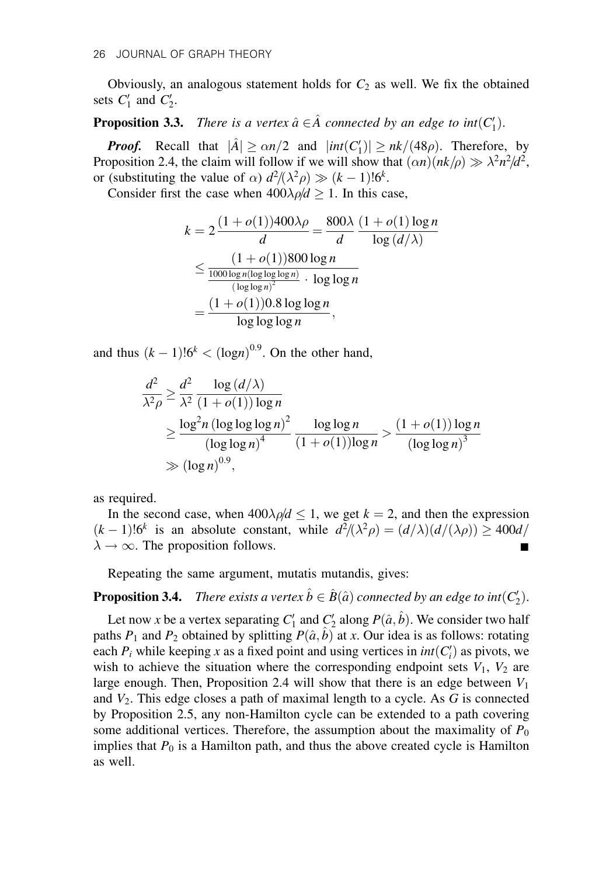Obviously, an analogous statement holds for  $C_2$  as well. We fix the obtained sets  $C_1'$  and  $C_2'$ .

**Proposition 3.3.** There is a vertex  $\hat{a} \in \hat{A}$  connected by an edge to  $int (C_1')$ .

**Proof.** Recall that  $|\hat{A}| \ge \alpha n/2$  and  $|int(C_1')| \ge nk/(48\rho)$ . Therefore, by Proposition 2.4, the claim will follow if we will show that  $(\alpha n)(nk/\rho) \gg \lambda^2 n^2/d^2$ , or (substituting the value of  $\alpha$ )  $d^2/(\lambda^2 \rho) \gg (k-1)! 6^k$ .

Consider first the case when  $400\lambda \rho/d \ge 1$ . In this case,

$$
k = 2 \frac{(1 + o(1))400\lambda\rho}{d} = \frac{800\lambda}{d} \frac{(1 + o(1)\log n)}{\log(d/\lambda)}
$$
  

$$
\leq \frac{(1 + o(1))800\log n}{\frac{1000\log n(\log\log\log n)}{(\log\log n)^2} \cdot \log\log n}
$$
  

$$
= \frac{(1 + o(1))0.8\log\log n}{\log\log\log n},
$$

and thus  $(k-1)!6^k < (log n)^{0.9}$ . On the other hand,

$$
\frac{d^2}{\lambda^2 \rho} \ge \frac{d^2}{\lambda^2} \frac{\log (d/\lambda)}{(1 + o(1)) \log n}
$$
  
\n
$$
\ge \frac{\log^2 n (\log \log \log n)^2}{(\log \log n)^4} \frac{\log \log n}{(1 + o(1)) \log n} > \frac{(1 + o(1)) \log n}{(\log \log n)^3}
$$
  
\n
$$
\gg (\log n)^{0.9},
$$

as required.

In the second case, when  $400\lambda \rho/d \leq 1$ , we get  $k = 2$ , and then the expression  $(k-1)!6^k$  is an absolute constant, while  $d^2/(\lambda^2 \rho) = (d/\lambda)(d/(\lambda \rho)) \ge 400d/$  $\lambda \rightarrow \infty$ . The proposition follows.

Repeating the same argument, mutatis mutandis, gives:

# **Proposition 3.4.** There exists a vertex  $\hat{b} \in \hat{B}(\hat{a})$  connected by an edge to int $(C_2')$ .

Let now x be a vertex separating  $C_1'$  and  $C_2'$  along  $P(\hat{a}, \hat{b})$ . We consider two half paths  $P_1$  and  $P_2$  obtained by splitting  $P(\hat{a}, \hat{b})$  at x. Our idea is as follows: rotating each  $P_i$  while keeping x as a fixed point and using vertices in  $int(C_i)$  as pivots, we wish to achieve the situation where the corresponding endpoint sets  $V_1$ ,  $V_2$  are large enough. Then, Proposition 2.4 will show that there is an edge between  $V_1$ and  $V_2$ . This edge closes a path of maximal length to a cycle. As G is connected by Proposition 2.5, any non-Hamilton cycle can be extended to a path covering some additional vertices. Therefore, the assumption about the maximality of  $P_0$ implies that  $P_0$  is a Hamilton path, and thus the above created cycle is Hamilton as well.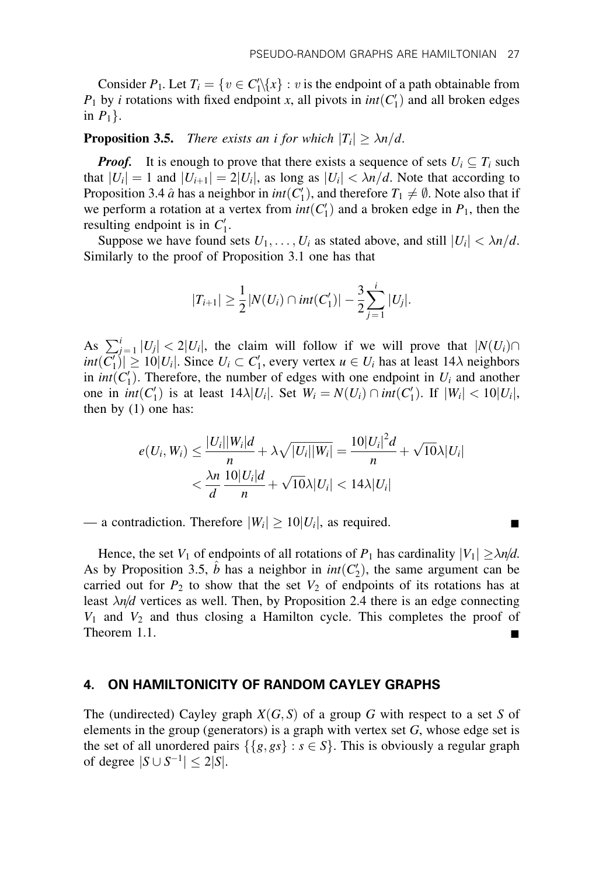Consider  $P_1$ . Let  $T_i = \{v \in C'_1 \setminus \{x\} : v \text{ is the endpoint of a path obtainable from } \}$  $P_1$  by *i* rotations with fixed endpoint *x*, all pivots in  $int(C'_1)$  and all broken edges in  $P_1$ .

# **Proposition 3.5.** There exists an i for which  $|T_i| \geq \lambda n/d$ .

**Proof.** It is enough to prove that there exists a sequence of sets  $U_i \subseteq T_i$  such that  $|U_i| = 1$  and  $|U_{i+1}| = 2|U_i|$ , as long as  $|U_i| < \lambda n/d$ . Note that according to Proposition 3.4  $\hat{a}$  has a neighbor in  $int(C_1')$ , and therefore  $T_1 \neq \emptyset$ . Note also that if we perform a rotation at a vertex from  $int(C'_1)$  and a broken edge in  $P_1$ , then the resulting endpoint is in  $C'_1$ .

Suppose we have found sets  $U_1, \ldots, U_i$  as stated above, and still  $|U_i| < \lambda n/d$ . Similarly to the proof of Proposition 3.1 one has that

$$
|T_{i+1}| \geq \frac{1}{2}|N(U_i) \cap int(C'_1)| - \frac{3}{2}\sum_{j=1}^i |U_j|.
$$

As  $\sum_{j=1}^{i} |U_j| < 2|U_i|$ , the claim will follow if we will prove that  $|N(U_i) \cap$  $int(C'_1)| \ge 10|U_i|$ . Since  $U_i \subset C'_1$ , every vertex  $u \in U_i$  has at least 14 $\lambda$  neighbors in *int*( $C'_1$ ). Therefore, the number of edges with one endpoint in  $U_i$  and another one in  $int(C'_1)$  is at least  $14\lambda |U_i|$ . Set  $W_i = N(U_i) \cap int(C'_1)$ . If  $|W_i| < 10|U_i|$ , then by (1) one has:

$$
e(U_i, W_i) \le \frac{|U_i||W_i|d}{n} + \lambda \sqrt{|U_i||W_i|} = \frac{10|U_i|^2d}{n} + \sqrt{10}\lambda|U_i|
$$
  

$$
< \frac{\lambda n}{d} \frac{10|U_i|d}{n} + \sqrt{10}\lambda|U_i| < 14\lambda|U_i|
$$

— a contradiction. Therefore  $|W_i| \ge 10|U_i|$ , as required.

Hence, the set  $V_1$  of endpoints of all rotations of  $P_1$  has cardinality  $|V_1| \ge \lambda n/d$ . As by Proposition 3.5,  $\hat{b}$  has a neighbor in  $int(C_2)$ , the same argument can be carried out for  $P_2$  to show that the set  $V_2$  of endpoints of its rotations has at least  $\lambda n/d$  vertices as well. Then, by Proposition 2.4 there is an edge connecting  $V_1$  and  $V_2$  and thus closing a Hamilton cycle. This completes the proof of Theorem 1.1.

#### 4. ON HAMILTONICITY OF RANDOM CAYLEY GRAPHS

The (undirected) Cayley graph  $X(G, S)$  of a group G with respect to a set S of elements in the group (generators) is a graph with vertex set  $G$ , whose edge set is the set of all unordered pairs  $\{\{g, gs\} : s \in S\}$ . This is obviously a regular graph of degree  $|S \cup S^{-1}| \leq 2|S|$ .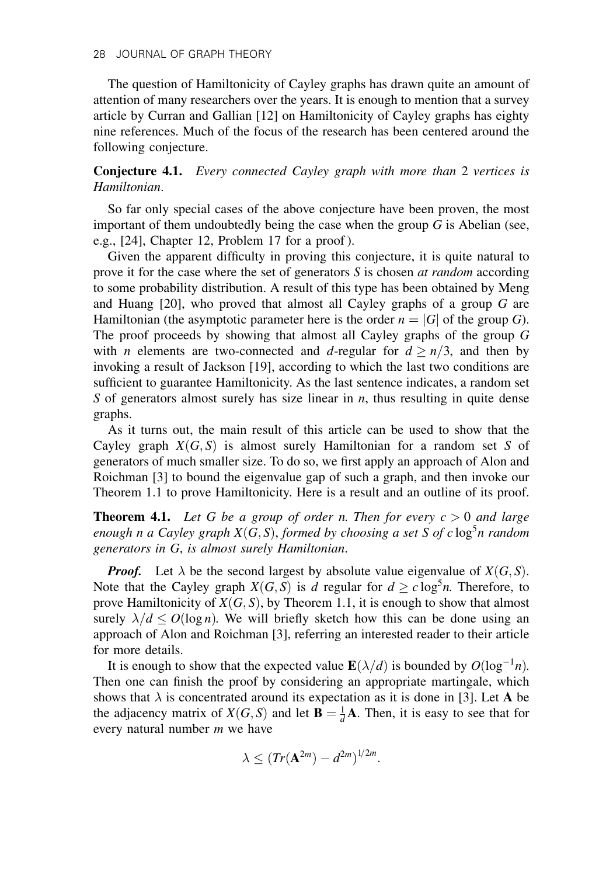The question of Hamiltonicity of Cayley graphs has drawn quite an amount of attention of many researchers over the years. It is enough to mention that a survey article by Curran and Gallian [12] on Hamiltonicity of Cayley graphs has eighty nine references. Much of the focus of the research has been centered around the following conjecture.

Conjecture 4.1. Every connected Cayley graph with more than 2 vertices is Hamiltonian.

So far only special cases of the above conjecture have been proven, the most important of them undoubtedly being the case when the group  $G$  is Abelian (see, e.g., [24], Chapter 12, Problem 17 for a proof ).

Given the apparent difficulty in proving this conjecture, it is quite natural to prove it for the case where the set of generators  $S$  is chosen *at random* according to some probability distribution. A result of this type has been obtained by Meng and Huang [20], who proved that almost all Cayley graphs of a group G are Hamiltonian (the asymptotic parameter here is the order  $n = |G|$  of the group G). The proof proceeds by showing that almost all Cayley graphs of the group G with *n* elements are two-connected and *d*-regular for  $d \ge n/3$ , and then by invoking a result of Jackson [19], according to which the last two conditions are sufficient to guarantee Hamiltonicity. As the last sentence indicates, a random set S of generators almost surely has size linear in  $n$ , thus resulting in quite dense graphs.

As it turns out, the main result of this article can be used to show that the Cayley graph  $X(G, S)$  is almost surely Hamiltonian for a random set S of generators of much smaller size. To do so, we first apply an approach of Alon and Roichman [3] to bound the eigenvalue gap of such a graph, and then invoke our Theorem 1.1 to prove Hamiltonicity. Here is a result and an outline of its proof.

**Theorem 4.1.** Let G be a group of order n. Then for every  $c > 0$  and large enough n a Cayley graph  $X(G, S)$ , formed by choosing a set S of c  $\log^5 n$  random generators in G, is almost surely Hamiltonian.

**Proof.** Let  $\lambda$  be the second largest by absolute value eigenvalue of  $X(G, S)$ . Note that the Cayley graph  $X(G, S)$  is d regular for  $d \geq c \log^5 n$ . Therefore, to prove Hamiltonicity of  $X(G, S)$ , by Theorem 1.1, it is enough to show that almost surely  $\lambda/d < O(\log n)$ . We will briefly sketch how this can be done using an approach of Alon and Roichman [3], referring an interested reader to their article for more details.

It is enough to show that the expected value  $\mathbf{E}(\lambda/d)$  is bounded by  $O(\log^{-1} n)$ . Then one can finish the proof by considering an appropriate martingale, which shows that  $\lambda$  is concentrated around its expectation as it is done in [3]. Let A be the adjacency matrix of  $X(G, S)$  and let  $\mathbf{B} = \frac{1}{d} \mathbf{A}$ . Then, it is easy to see that for every natural number m we have

$$
\lambda \leq (Tr(\mathbf{A}^{2m}) - d^{2m})^{1/2m}.
$$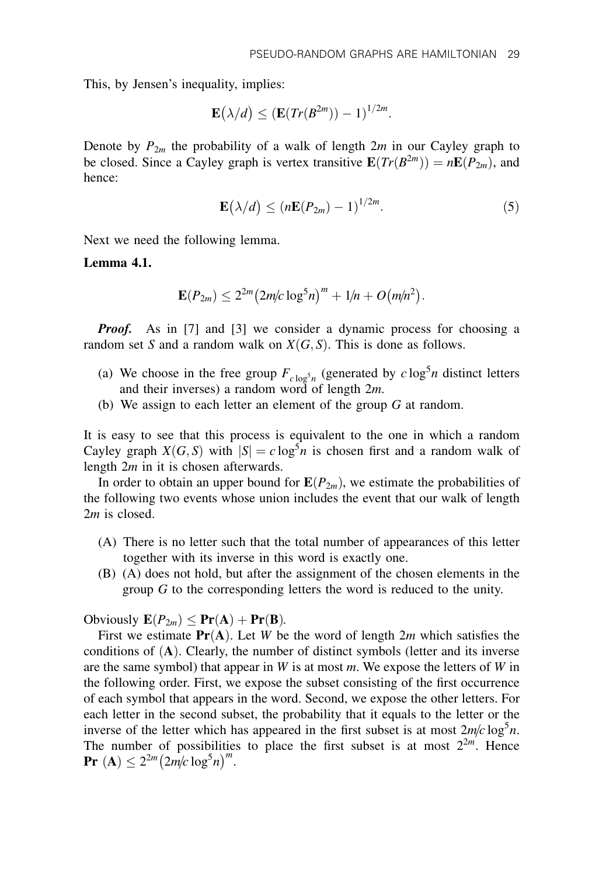This, by Jensen's inequality, implies:

$$
\mathbf{E}(\lambda/d) \leq (\mathbf{E}(Tr(B^{2m})) - 1)^{1/2m}.
$$

Denote by  $P_{2m}$  the probability of a walk of length  $2m$  in our Cayley graph to be closed. Since a Cayley graph is vertex transitive  $\mathbf{E}(Tr(B^{2m})) = n\mathbf{E}(P_{2m})$ , and hence:

$$
\mathbf{E}(\lambda/d) \le (n\mathbf{E}(P_{2m}) - 1)^{1/2m}.\tag{5}
$$

Next we need the following lemma.

Lemma 4.1.

$$
\mathbf{E}(P_{2m}) \le 2^{2m} (2m/c \log^5 n)^m + 1/n + O(m/n^2).
$$

**Proof.** As in [7] and [3] we consider a dynamic process for choosing a random set S and a random walk on  $X(G, S)$ . This is done as follows.

- (a) We choose in the free group  $F_{c \log^5 n}$  (generated by  $c \log^5 n$  distinct letters and their inverses) a random word of length 2m.
- (b) We assign to each letter an element of the group G at random.

It is easy to see that this process is equivalent to the one in which a random Cayley graph  $X(G, S)$  with  $|S| = c \log^5 n$  is chosen first and a random walk of length 2*m* in it is chosen afterwards.

In order to obtain an upper bound for  $E(P_{2m})$ , we estimate the probabilities of the following two events whose union includes the event that our walk of length 2m is closed.

- (A) There is no letter such that the total number of appearances of this letter together with its inverse in this word is exactly one.
- (B) (A) does not hold, but after the assignment of the chosen elements in the group G to the corresponding letters the word is reduced to the unity.

Obviously  $\mathbf{E}(P_{2m}) \leq \mathbf{Pr}(\mathbf{A}) + \mathbf{Pr}(\mathbf{B})$ .

First we estimate  $Pr(A)$ . Let W be the word of length 2m which satisfies the conditions of  $(A)$ . Clearly, the number of distinct symbols (letter and its inverse are the same symbol) that appear in  $W$  is at most  $m$ . We expose the letters of  $W$  in the following order. First, we expose the subset consisting of the first occurrence of each symbol that appears in the word. Second, we expose the other letters. For each letter in the second subset, the probability that it equals to the letter or the inverse of the letter which has appeared in the first subset is at most  $2m/c \log^5 n$ . The number of possibilities to place the first subset is at most  $2^{2m}$ . Hence **Pr** (A)  $\leq 2^{2m} (2m/c \log^5 n)^m$ .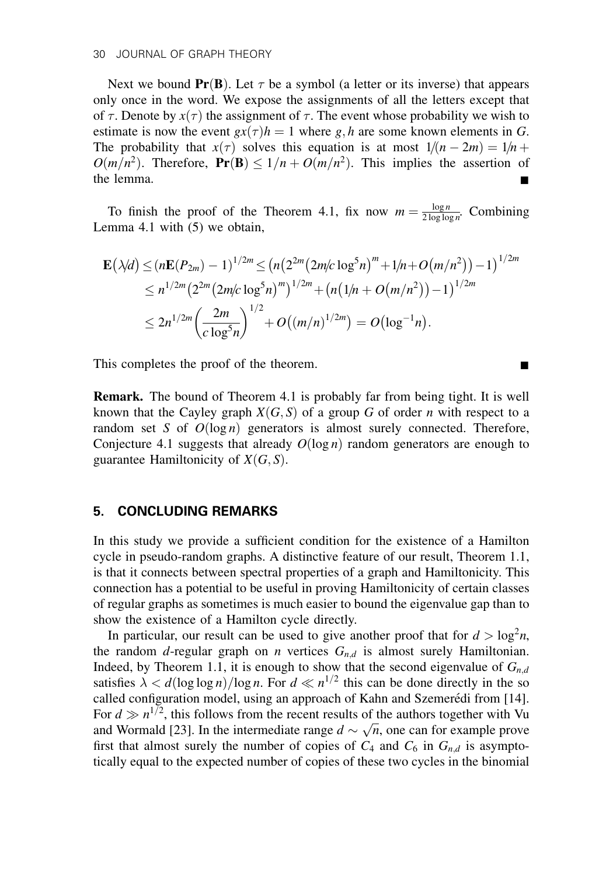Next we bound  $Pr(B)$ . Let  $\tau$  be a symbol (a letter or its inverse) that appears only once in the word. We expose the assignments of all the letters except that of  $\tau$ . Denote by  $x(\tau)$  the assignment of  $\tau$ . The event whose probability we wish to estimate is now the event  $gx(\tau)h = 1$  where g, h are some known elements in G. The probability that  $x(\tau)$  solves this equation is at most  $1/(n-2m) = 1/n +$  $O(m/n^2)$ . Therefore,  $Pr(B) \le 1/n + O(m/n^2)$ . This implies the assertion of the lemma.

To finish the proof of the Theorem 4.1, fix now  $m = \frac{\log n}{2 \log \log n}$ . Combining Lemma 4.1 with (5) we obtain,

$$
\mathbf{E}(\lambda/d) \le (n\mathbf{E}(P_{2m}) - 1)^{1/2m} \le (n(2^{2m}(2m/c\log^5 n)^m + 1/n + O(m/n^2)) - 1)^{1/2m}
$$
  
\n
$$
\le n^{1/2m}(2^{2m}(2m/c\log^5 n)^m)^{1/2m} + (n(1/n + O(m/n^2)) - 1)^{1/2m}
$$
  
\n
$$
\le 2n^{1/2m}\left(\frac{2m}{c\log^5 n}\right)^{1/2} + O((m/n)^{1/2m}) = O(\log^{-1} n).
$$

This completes the proof of the theorem.

Remark. The bound of Theorem 4.1 is probably far from being tight. It is well known that the Cayley graph  $X(G, S)$  of a group G of order n with respect to a random set S of  $O(log n)$  generators is almost surely connected. Therefore, Conjecture 4.1 suggests that already  $O(\log n)$  random generators are enough to guarantee Hamiltonicity of  $X(G, S)$ .

#### 5. CONCLUDING REMARKS

In this study we provide a sufficient condition for the existence of a Hamilton cycle in pseudo-random graphs. A distinctive feature of our result, Theorem 1.1, is that it connects between spectral properties of a graph and Hamiltonicity. This connection has a potential to be useful in proving Hamiltonicity of certain classes of regular graphs as sometimes is much easier to bound the eigenvalue gap than to show the existence of a Hamilton cycle directly.

In particular, our result can be used to give another proof that for  $d > log^2 n$ , the random d-regular graph on *n* vertices  $G_{n,d}$  is almost surely Hamiltonian. Indeed, by Theorem 1.1, it is enough to show that the second eigenvalue of  $G_{n,d}$ satisfies  $\lambda < d(\log \log n)/\log n$ . For  $d \ll n^{1/2}$  this can be done directly in the so called configuration model, using an approach of Kahn and Szemerédi from [14]. For  $d \gg n^{1/2}$ , this follows from the recent results of the authors together with Vu For  $a \gg n$ , this follows from the recent results of the authors together with vu and Wormald [23]. In the intermediate range  $d \sim \sqrt{n}$ , one can for example prove first that almost surely the number of copies of  $C_4$  and  $C_6$  in  $G_{n,d}$  is asymptotically equal to the expected number of copies of these two cycles in the binomial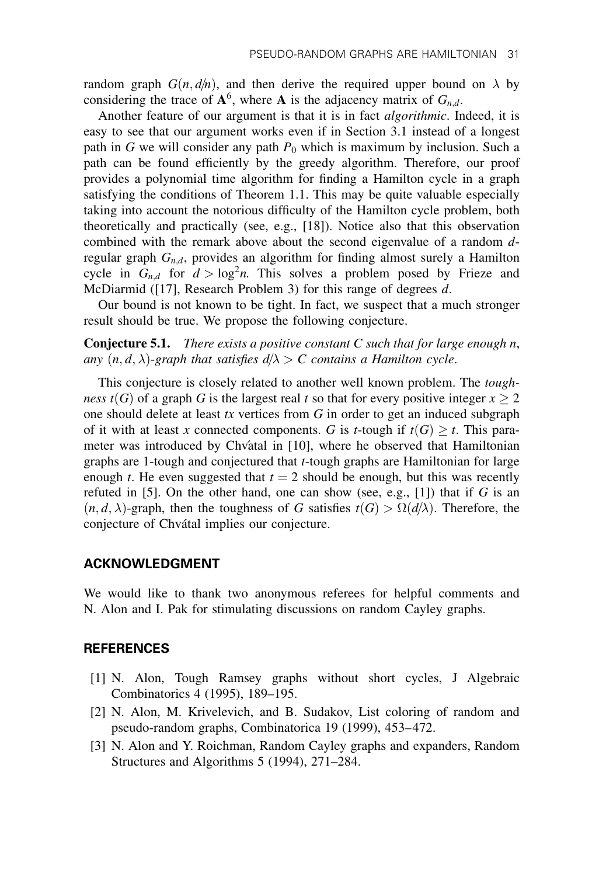random graph  $G(n, d/n)$ , and then derive the required upper bound on  $\lambda$  by considering the trace of  $A^6$ , where A is the adjacency matrix of  $G_{n,d}$ .

Another feature of our argument is that it is in fact algorithmic. Indeed, it is easy to see that our argument works even if in Section 3.1 instead of a longest path in G we will consider any path  $P_0$  which is maximum by inclusion. Such a path can be found efficiently by the greedy algorithm. Therefore, our proof provides a polynomial time algorithm for finding a Hamilton cycle in a graph satisfying the conditions of Theorem 1.1. This may be quite valuable especially taking into account the notorious difficulty of the Hamilton cycle problem, both theoretically and practically (see, e.g., [18]). Notice also that this observation combined with the remark above about the second eigenvalue of a random dregular graph  $G_{n,d}$ , provides an algorithm for finding almost surely a Hamilton cycle in  $G_{n,d}$  for  $d > \log^2 n$ . This solves a problem posed by Frieze and McDiarmid ([17], Research Problem 3) for this range of degrees d.

Our bound is not known to be tight. In fact, we suspect that a much stronger result should be true. We propose the following conjecture.

**Conjecture 5.1.** There exists a positive constant  $C$  such that for large enough  $n$ , any  $(n, d, \lambda)$ -graph that satisfies  $d/\lambda > C$  contains a Hamilton cycle.

This conjecture is closely related to another well known problem. The toughness  $t(G)$  of a graph G is the largest real t so that for every positive integer  $x \geq 2$ one should delete at least  $tx$  vertices from  $G$  in order to get an induced subgraph of it with at least x connected components. G is *t*-tough if  $t(G) \geq t$ . This parameter was introduced by Chvatal in [10], where he observed that Hamiltonian graphs are 1-tough and conjectured that t-tough graphs are Hamiltonian for large enough t. He even suggested that  $t = 2$  should be enough, but this was recently refuted in [5]. On the other hand, one can show (see, e.g., [1]) that if G is an  $(n, d, \lambda)$ -graph, then the toughness of G satisfies  $t(G) > \Omega(d/\lambda)$ . Therefore, the conjecture of Chvátal implies our conjecture.

#### ACKNOWLEDGMENT

We would like to thank two anonymous referees for helpful comments and N. Alon and I. Pak for stimulating discussions on random Cayley graphs.

# **REFERENCES**

- [1] N. Alon, Tough Ramsey graphs without short cycles, J Algebraic Combinatorics 4 (1995), 189–195.
- [2] N. Alon, M. Krivelevich, and B. Sudakov, List coloring of random and pseudo-random graphs, Combinatorica 19 (1999), 453–472.
- [3] N. Alon and Y. Roichman, Random Cayley graphs and expanders, Random Structures and Algorithms 5 (1994), 271–284.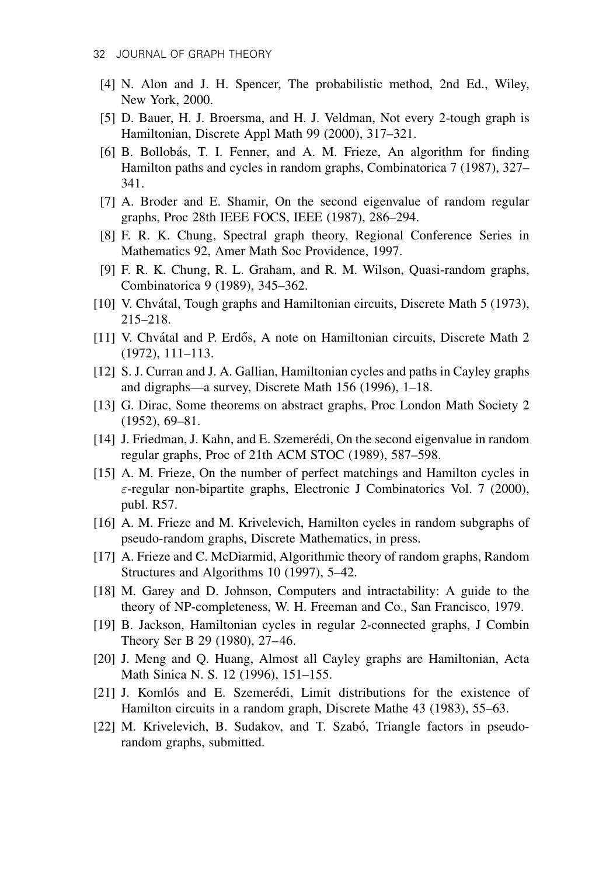- [4] N. Alon and J. H. Spencer, The probabilistic method, 2nd Ed., Wiley, New York, 2000.
- [5] D. Bauer, H. J. Broersma, and H. J. Veldman, Not every 2-tough graph is Hamiltonian, Discrete Appl Math 99 (2000), 317–321.
- [6] B. Bollobás, T. I. Fenner, and A. M. Frieze, An algorithm for finding Hamilton paths and cycles in random graphs, Combinatorica 7 (1987), 327– 341.
- [7] A. Broder and E. Shamir, On the second eigenvalue of random regular graphs, Proc 28th IEEE FOCS, IEEE (1987), 286–294.
- [8] F. R. K. Chung, Spectral graph theory, Regional Conference Series in Mathematics 92, Amer Math Soc Providence, 1997.
- [9] F. R. K. Chung, R. L. Graham, and R. M. Wilson, Quasi-random graphs, Combinatorica 9 (1989), 345–362.
- [10] V. Chvátal, Tough graphs and Hamiltonian circuits, Discrete Math 5 (1973), 215–218.
- [11] V. Chvátal and P. Erdős, A note on Hamiltonian circuits, Discrete Math 2 (1972), 111–113.
- [12] S. J. Curran and J. A. Gallian, Hamiltonian cycles and paths in Cayley graphs and digraphs—a survey, Discrete Math 156 (1996), 1–18.
- [13] G. Dirac, Some theorems on abstract graphs, Proc London Math Society 2 (1952), 69–81.
- [14] J. Friedman, J. Kahn, and E. Szemerédi, On the second eigenvalue in random regular graphs, Proc of 21th ACM STOC (1989), 587–598.
- [15] A. M. Frieze, On the number of perfect matchings and Hamilton cycles in  $\varepsilon$ -regular non-bipartite graphs, Electronic J Combinatorics Vol. 7 (2000), publ. R57.
- [16] A. M. Frieze and M. Krivelevich, Hamilton cycles in random subgraphs of pseudo-random graphs, Discrete Mathematics, in press.
- [17] A. Frieze and C. McDiarmid, Algorithmic theory of random graphs, Random Structures and Algorithms 10 (1997), 5–42.
- [18] M. Garey and D. Johnson, Computers and intractability: A guide to the theory of NP-completeness, W. H. Freeman and Co., San Francisco, 1979.
- [19] B. Jackson, Hamiltonian cycles in regular 2-connected graphs, J Combin Theory Ser B 29 (1980), 27–46.
- [20] J. Meng and Q. Huang, Almost all Cayley graphs are Hamiltonian, Acta Math Sinica N. S. 12 (1996), 151–155.
- [21] J. Komlós and E. Szemerédi, Limit distributions for the existence of Hamilton circuits in a random graph, Discrete Mathe 43 (1983), 55–63.
- [22] M. Krivelevich, B. Sudakov, and T. Szabó, Triangle factors in pseudorandom graphs, submitted.